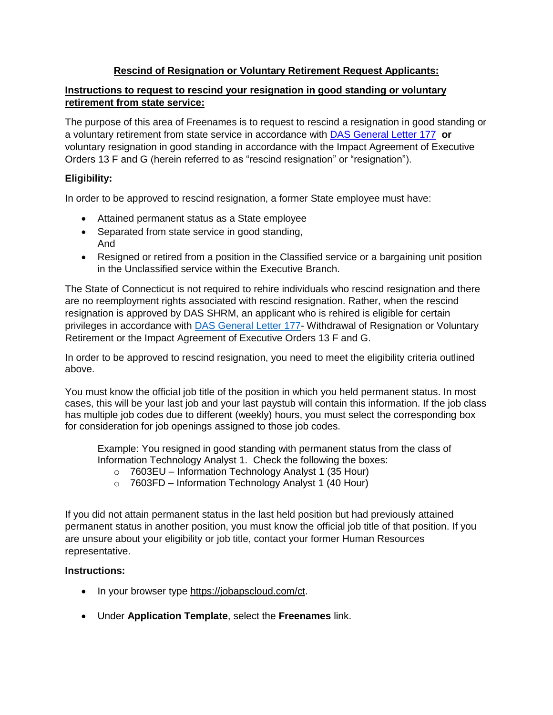# **Rescind of Resignation or Voluntary Retirement Request Applicants:**

### **Instructions to request to rescind your resignation in good standing or voluntary retirement from state service:**

The purpose of this area of Freenames is to request to rescind a resignation in good standing or a voluntary retirement from state service in accordance with [DAS General Letter 177](https://www.jobapscloud.com/ct/sup/Gl177WithdrawalofResignation.pdf) **or** voluntary resignation in good standing in accordance with the Impact Agreement of Executive Orders 13 F and G (herein referred to as "rescind resignation" or "resignation").

## **Eligibility:**

In order to be approved to rescind resignation, a former State employee must have:

- Attained permanent status as a State employee
- Separated from state service in good standing, And
- Resigned or retired from a position in the Classified service or a bargaining unit position in the Unclassified service within the Executive Branch.

The State of Connecticut is not required to rehire individuals who rescind resignation and there are no reemployment rights associated with rescind resignation. Rather, when the rescind resignation is approved by DAS SHRM, an applicant who is rehired is eligible for certain privileges in accordance with [DAS General Letter 177-](https://portal.ct.gov/-/media/DAS/Statewide-HR/A---Z-Listing-Task-PDFs/Resignation-in-Good-Standing--Eligibility-for-Reinstatement--DAS-General-Letter-177--December-15-200.pdf?la=en) Withdrawal of Resignation or Voluntary Retirement or the Impact Agreement of Executive Orders 13 F and G.

In order to be approved to rescind resignation, you need to meet the eligibility criteria outlined above.

You must know the official job title of the position in which you held permanent status. In most cases, this will be your last job and your last paystub will contain this information. If the job class has multiple job codes due to different (weekly) hours, you must select the corresponding box for consideration for job openings assigned to those job codes.

Example: You resigned in good standing with permanent status from the class of Information Technology Analyst 1. Check the following the boxes:

- o 7603EU Information Technology Analyst 1 (35 Hour)
- $\circ$  7603FD Information Technology Analyst 1 (40 Hour)

If you did not attain permanent status in the last held position but had previously attained permanent status in another position, you must know the official job title of that position. If you are unsure about your eligibility or job title, contact your former Human Resources representative.

#### **Instructions:**

- In your browser type [https://jobapscloud.com/ct.](https://jobapscloud.com/ct)
- Under **Application Template**, select the **Freenames** link.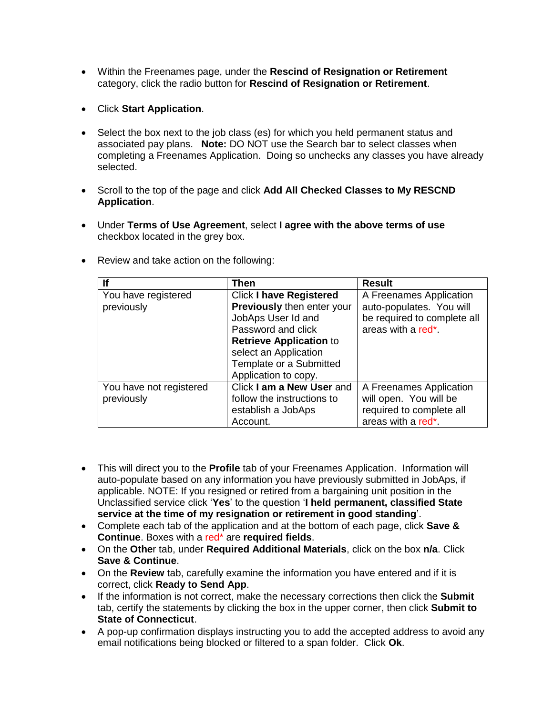- Within the Freenames page, under the **Rescind of Resignation or Retirement** category, click the radio button for **Rescind of Resignation or Retirement**.
- Click **Start Application**.
- Select the box next to the job class (es) for which you held permanent status and associated pay plans. **Note:** DO NOT use the Search bar to select classes when completing a Freenames Application. Doing so unchecks any classes you have already selected.
- Scroll to the top of the page and click **Add All Checked Classes to My RESCND Application**.
- Under **Terms of Use Agreement**, select **I agree with the above terms of use** checkbox located in the grey box.

| If                      | Then                           | <b>Result</b>                   |
|-------------------------|--------------------------------|---------------------------------|
| You have registered     | <b>Click I have Registered</b> | A Freenames Application         |
| previously              | Previously then enter your     | auto-populates. You will        |
|                         | JobAps User Id and             | be required to complete all     |
|                         | Password and click             | areas with a red <sup>*</sup> . |
|                         | <b>Retrieve Application to</b> |                                 |
|                         | select an Application          |                                 |
|                         | Template or a Submitted        |                                 |
|                         | Application to copy.           |                                 |
| You have not registered | Click I am a New User and      | A Freenames Application         |
| previously              | follow the instructions to     | will open. You will be          |
|                         | establish a JobAps             | required to complete all        |
|                         | Account.                       | areas with a red <sup>*</sup> . |

• Review and take action on the following:

- This will direct you to the **Profile** tab of your Freenames Application. Information will auto-populate based on any information you have previously submitted in JobAps, if applicable. NOTE: If you resigned or retired from a bargaining unit position in the Unclassified service click '**Yes**' to the question '**I held permanent, classified State service at the time of my resignation or retirement in good standing**'.
- Complete each tab of the application and at the bottom of each page, click **Save & Continue**. Boxes with a red\* are **required fields**.
- On the **Othe**r tab, under **Required Additional Materials**, click on the box **n/a**. Click **Save & Continue**.
- On the **Review** tab, carefully examine the information you have entered and if it is correct, click **Ready to Send App**.
- If the information is not correct, make the necessary corrections then click the **Submit** tab, certify the statements by clicking the box in the upper corner, then click **Submit to State of Connecticut**.
- A pop-up confirmation displays instructing you to add the accepted address to avoid any email notifications being blocked or filtered to a span folder. Click **Ok**.